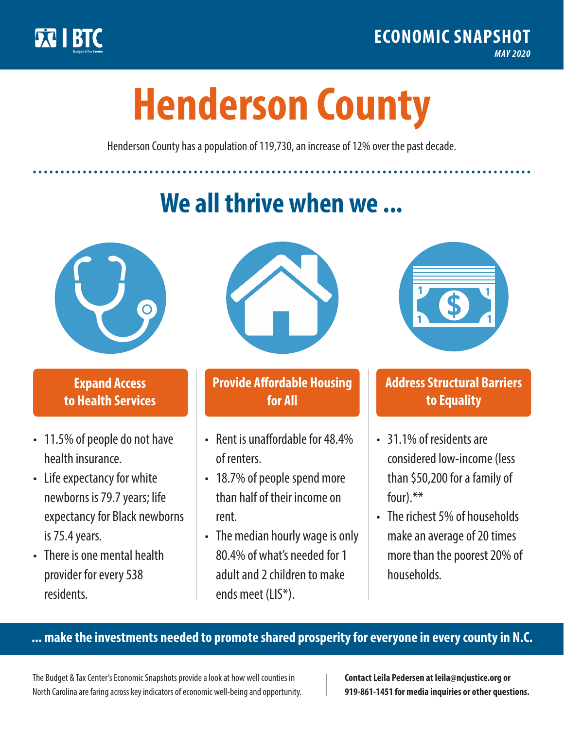

**1**

# **Henderson County**

Henderson County has a population of 119,730, an increase of 12% over the past decade.

# **We all thrive when we ...**



**\$ <sup>1</sup>**

**\$ <sup>1</sup>**

#### **Expand Access to Health Services**

- 11.5% of people do not have health insurance.
- Life expectancy for white newborns is 79.7 years; life expectancy for Black newborns is 75.4years.
- There is one mental health provider for every 538 residents.



## **Provide Affordable Housing for All**

- Rent is unaffordable for 48.4% of renters.
- 18.7% of people spend more than half of their income on rent.
- The median hourly wage is only 80.4% of what's needed for 1 adult and 2 children to make ends meet (LIS\*).



## **Address Structural Barriers to Equality**

- 31.1% of residents are considered low-income (less than \$50,200 for a family of four).\*\*
- The richest 5% of households make an average of 20 times more than the poorest 20% of households.

#### **... make the investments needed to promote shared prosperity for everyone in every county in N.C.**

The Budget & Tax Center's Economic Snapshots provide a look at how well counties in North Carolina are faring across key indicators of economic well-being and opportunity.